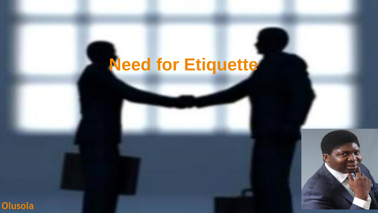## **Need for Etiquette**



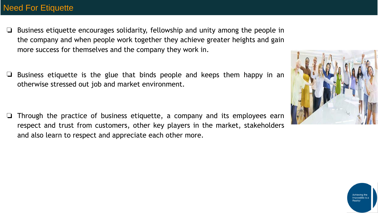## **Need For Etiquette**

- ❏ Business etiquette encourages solidarity, fellowship and unity among the people in the company and when people work together they achieve greater heights and gain more success for themselves and the company they work in.
- Business etiquette is the glue that binds people and keeps them happy in an otherwise stressed out job and market environment.

Through the practice of business etiquette, a company and its employees earn respect and trust from customers, other key players in the market, stakeholders and also learn to respect and appreciate each other more.



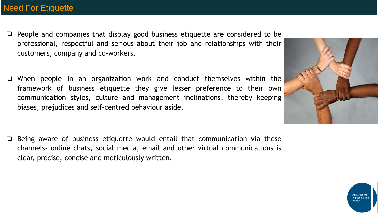- ❏ People and companies that display good business etiquette are considered to be professional, respectful and serious about their job and relationships with their customers, company and co-workers.
- When people in an organization work and conduct themselves within the framework of business etiquette they give lesser preference to their own communication styles, culture and management inclinations, thereby keeping biases, prejudices and self-centred behaviour aside.

❏ Being aware of business etiquette would entail that communication via these channels- online chats, social media, email and other virtual communications is clear, precise, concise and meticulously written.



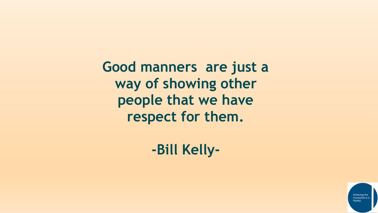**Good manners are just a way of showing other people that we have respect for them.** 

**-Bill Kelly-**